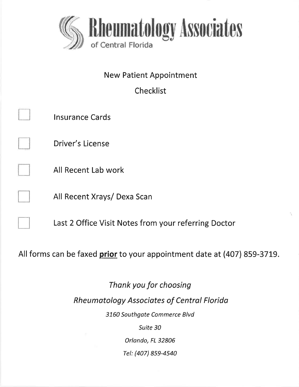

New Patient Appointment

Checklist

|                                                                          | Insurance Cards                                      |  |  |  |
|--------------------------------------------------------------------------|------------------------------------------------------|--|--|--|
|                                                                          | Driver's License                                     |  |  |  |
|                                                                          | All Recent Lab work                                  |  |  |  |
|                                                                          | All Recent Xrays/ Dexa Scan                          |  |  |  |
|                                                                          | Last 2 Office Visit Notes from your referring Doctor |  |  |  |
| All forms can be faxed prior to your appointment date at (407) 859-3719. |                                                      |  |  |  |

Thank you for choosing Rheumatology Associates of Centrol Florido 3150 Southgate Commerce Blvd

Suite 30

Orlando, FL 32806

Tel: (407) 859-4540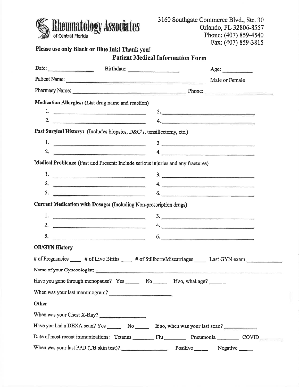

3160 Southgate Commerce Blvd., Ste. 30 Orlando, FL 32806-8557 Phone: (407) 859-4540 Fax: (407) 859-3815

|                                                                                                                                                            |                 | Age: |
|------------------------------------------------------------------------------------------------------------------------------------------------------------|-----------------|------|
| Patient Name: Male or Female                                                                                                                               |                 |      |
|                                                                                                                                                            |                 |      |
| Medication Allergies: (List drug name and reaction)                                                                                                        |                 |      |
|                                                                                                                                                            | 3.              |      |
| 2. $\overline{\phantom{a}}$                                                                                                                                | 4.              |      |
| Past Surgical History: (Includes biopsies, D&C's, tonsillectomy, etc.)                                                                                     |                 |      |
|                                                                                                                                                            |                 |      |
| 2. $\qquad \qquad$                                                                                                                                         | 4.              |      |
| Medical Problems: (Past and Present: Include serious injuries and any fractures)                                                                           |                 |      |
|                                                                                                                                                            |                 |      |
| 2. $\qquad \qquad$                                                                                                                                         | $\overline{4.}$ |      |
| 5. $\overline{\phantom{a}}$                                                                                                                                | 6.              |      |
| Current Medication with Dosage: (Including Non-prescription drugs)                                                                                         |                 |      |
| 1. $\qquad \qquad$                                                                                                                                         | 3.              |      |
| 2. $\qquad \qquad$                                                                                                                                         |                 |      |
|                                                                                                                                                            |                 |      |
| <b>OB/GYN History</b>                                                                                                                                      |                 |      |
| # of Pregnancies ______ # of Live Births _____ # of Stillborn/Miscarriages ______ Last GYN exam _____________                                              |                 |      |
|                                                                                                                                                            |                 |      |
| Name of your Gynecologist:                                                                                                                                 |                 |      |
| Have you gone through menopause? Yes ________ No ________ If so, what age? ______                                                                          |                 |      |
|                                                                                                                                                            |                 |      |
| When was your last mammogram?<br>Other                                                                                                                     |                 |      |
|                                                                                                                                                            |                 |      |
| When was your Chest X-Ray?                                                                                                                                 |                 |      |
| Have you had a DEXA scan? Yes _________ No _________ If so, when was your last scan?<br>Date of most recent immunizations: Tetanus Flu Flu Pneumonia COVID |                 |      |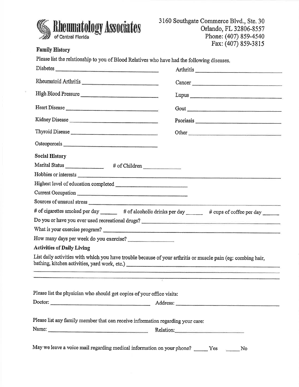

### **Family History**

| Please list the relationship to you of Blood Relatives who have had the following diseases.                                                                    |        |
|----------------------------------------------------------------------------------------------------------------------------------------------------------------|--------|
| Diabetes                                                                                                                                                       |        |
| Rheumatoid Arthritis                                                                                                                                           | Cancer |
| High Blood Pressure                                                                                                                                            |        |
|                                                                                                                                                                |        |
|                                                                                                                                                                |        |
| Thyroid Disease                                                                                                                                                |        |
|                                                                                                                                                                |        |
| <b>Social History</b>                                                                                                                                          |        |
| Marital Status ______________ # of Children                                                                                                                    |        |
|                                                                                                                                                                |        |
|                                                                                                                                                                |        |
| Current Occupation                                                                                                                                             |        |
|                                                                                                                                                                |        |
| # of cigarettes smoked per day _______ # of alcoholic drinks per day ______ # cups of coffee per day                                                           |        |
| Do you or have you ever used recreational drugs?                                                                                                               |        |
| What is your exercise program?                                                                                                                                 |        |
| How many days per week do you exercise?                                                                                                                        |        |
| <b>Activities of Daily Living</b>                                                                                                                              |        |
| List daily activities with which you have trouble because of your arthritis or muscle pain (eg: combing hair,<br>bathing, kitchen activities, yard work, etc.) |        |
|                                                                                                                                                                |        |
| Please list the physician who should get copies of your office visits:                                                                                         |        |
| Doctor:                                                                                                                                                        |        |
|                                                                                                                                                                |        |
| Please list any family member that can receive information regarding your care:                                                                                |        |
| Name: Relation: Relation:                                                                                                                                      |        |
| May we leave a voice mail regarding medical information on your phone? ______ Yes No                                                                           |        |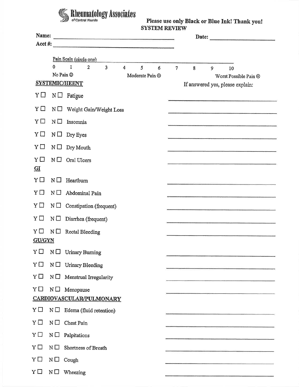# Rheumatology Associates

Please use only Black or Blue Ink! Thank you!<br>SYSTEM REVIEW

|                      |             | Pain Scale (circle one)                                                                                                   |                 |   |   |                                                                                                                                                                                                                                      |
|----------------------|-------------|---------------------------------------------------------------------------------------------------------------------------|-----------------|---|---|--------------------------------------------------------------------------------------------------------------------------------------------------------------------------------------------------------------------------------------|
|                      | 0           | $\mathbf{1}$<br>$\overline{2}$<br>$\overline{3}$<br>$\overline{4}$<br>5<br>$6\phantom{1}$<br>No Pain ©<br>Moderate Pain @ | $7\overline{ }$ | 8 | 9 | 10                                                                                                                                                                                                                                   |
|                      |             | <b>SYSTEMIC/HEENT</b>                                                                                                     |                 |   |   | Worst Possible Pain ®<br>If answered yes, please explain:                                                                                                                                                                            |
| $Y \Box$             | $N \Box$    | Fatigue                                                                                                                   |                 |   |   |                                                                                                                                                                                                                                      |
| YΩ                   | $N \Box$    | Weight Gain/Weight Loss                                                                                                   |                 |   |   |                                                                                                                                                                                                                                      |
| YΠ                   | $N \Box$    | Insomnia                                                                                                                  |                 |   |   | the control of the control of the control of the control of the control of the control of the control of the control of the control of the control of the control of the control of the control of the control of the control        |
| YΠ                   |             | $N \Box$ Dry Eyes                                                                                                         |                 |   |   | and the continuum of the control of the control of the control of the control of the control of the control of                                                                                                                       |
| YΠ                   |             | $N \Box$ Dry Mouth                                                                                                        |                 |   |   |                                                                                                                                                                                                                                      |
| Y<br>$\overline{GI}$ | $N \square$ | Oral Ulcers                                                                                                               |                 |   |   |                                                                                                                                                                                                                                      |
| $Y \Box$             |             | $N \Box$ Heartburn                                                                                                        |                 |   |   |                                                                                                                                                                                                                                      |
| YΠ                   |             | $N \Box$ Abdominal Pain                                                                                                   |                 |   |   | <b>RANGE REPORTED HIS CONSUMER SOFTWARE TO AN ARTIST AND RELEASED FOR A STATE OF A REPORT OF A STATE OF A REPORT OF A STATE OF A REPORT OF A STATE OF A REPORT OF A STATE OF A REPORT OF A STATE OF A REPORT OF A STATE OF A REP</b> |
| YП                   |             | $N \Box$ Constipation (frequent)                                                                                          |                 |   |   |                                                                                                                                                                                                                                      |
| YΠ                   | $N \Box$    | Diarrhea (frequent)                                                                                                       |                 |   |   | .<br>1980 - Jacob Barnett, amerikansk politik (d. 1980)                                                                                                                                                                              |
| YΠ                   | $N \Box$    | <b>Rectal Bleeding</b>                                                                                                    |                 |   |   |                                                                                                                                                                                                                                      |
| <b>GU/GYN</b>        |             |                                                                                                                           |                 |   |   |                                                                                                                                                                                                                                      |
|                      |             | $Y \Box \quad N \Box \quad$ Urinary Burning                                                                               |                 |   |   |                                                                                                                                                                                                                                      |
| Y□                   | $N \Box$    | <b>Urinary Bleeding</b>                                                                                                   |                 |   |   |                                                                                                                                                                                                                                      |
| $Y \Box$             | $N \Box$    | Menstrual Irregularity                                                                                                    |                 |   |   |                                                                                                                                                                                                                                      |
| YΠ                   |             | $N \Box$ Menopause<br><b>CARDIOVASCULAR/PULMONARY</b>                                                                     |                 |   |   |                                                                                                                                                                                                                                      |
|                      |             |                                                                                                                           |                 |   |   |                                                                                                                                                                                                                                      |
| YП                   |             | $N \Box$ Edema (fluid retention)                                                                                          |                 |   |   |                                                                                                                                                                                                                                      |
| YΠ                   | $N \square$ | Chest Pain                                                                                                                |                 |   |   |                                                                                                                                                                                                                                      |
| YΠ                   | $N \Box$    | Palpitations                                                                                                              |                 |   |   |                                                                                                                                                                                                                                      |
| YП                   | $N \square$ | Shortness of Breath                                                                                                       |                 |   |   |                                                                                                                                                                                                                                      |
| $Y \Box$             | $N \Box$    | Cough                                                                                                                     |                 |   |   |                                                                                                                                                                                                                                      |
| $Y \Box$             | $N \Box$    | Wheezing                                                                                                                  |                 |   |   |                                                                                                                                                                                                                                      |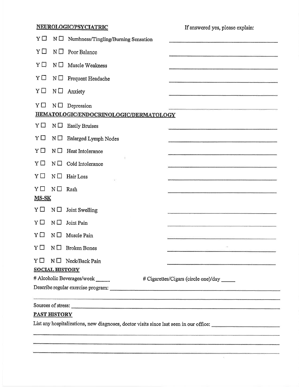# NEUROLO GIC/PSYCIATRIC

If answered yes, please explain:

 $\epsilon$ 

| Y□           | $N \Box$              | Numbness/Tingling/Burning Sensation                                                                                                      |  |
|--------------|-----------------------|------------------------------------------------------------------------------------------------------------------------------------------|--|
| YП           | $N \Box$              | Poor Balance                                                                                                                             |  |
| YΩ           | $N \Box$              | Muscle Weakness                                                                                                                          |  |
| YΠ           | $N \Box$              | Frequent Headache                                                                                                                        |  |
| YΠ           | $N \Box$              | Anxiety                                                                                                                                  |  |
| YΠ           | $N \Box$              | Depression                                                                                                                               |  |
|              |                       | HEMATOLOGIC/ENDOCRINOLOGIC/DERMATOLOGY                                                                                                   |  |
| YΠ           | $N \Box$              | <b>Easily Bruises</b><br><b>CONTRACTOR CONTRACTOR CONTRACTOR</b>                                                                         |  |
| YΩ           | $N \Box$              | Enlarged Lymph Nodes                                                                                                                     |  |
| $Y \Box$     | $N \square$           | Heat Intolerance                                                                                                                         |  |
| $Y \Box$     | $N\square$            | Cold Intolerance                                                                                                                         |  |
| $Y \Box$     | $N \Box$              | Hair Loss                                                                                                                                |  |
| YΠ           | $N \square$           | Rash                                                                                                                                     |  |
| <b>MS-SK</b> |                       |                                                                                                                                          |  |
| $Y \Box$     | $N \Box$              | Joint Swelling                                                                                                                           |  |
| $Y \Box$     | $N \Box$              | Joint Pain                                                                                                                               |  |
| YП           | $N \Box$              | Muscle Pain                                                                                                                              |  |
| YΠ           | $N \Box$              | <b>Broken Bones</b>                                                                                                                      |  |
|              |                       | $Y \Box \quad N \Box \quad$ Neck/Back Pain<br><b>CONTRACTOR COMMENTARY CONTRACTOR CONTRACTOR</b>                                         |  |
|              | <b>SOCIAL HISTORY</b> |                                                                                                                                          |  |
|              |                       | # Alcoholic Beverages/week<br># Cigarettes/Cigars (circle one)/day ______                                                                |  |
|              |                       |                                                                                                                                          |  |
|              |                       | <u>and the second contract of the second contract of the second contract of the second contract of the second contract of the second</u> |  |
|              | <b>PAST HISTORY</b>   |                                                                                                                                          |  |
|              |                       | List any hospitalizations, new diagnoses, doctor visits since last seen in our office:                                                   |  |
|              |                       |                                                                                                                                          |  |

<u> 1965 - Jan Sarajan dan Bandara dan sebagai dan berasal dan berasal dan berasal dari dalam dalam dalam dalam d</u>

.<br>1990 - Paul II, mars and by particular and the complete and the problem in the complete of the complete of the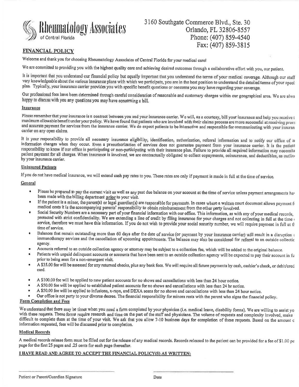

### FINANCIAL POLICY

Welcome and thank you for choosing Rheumatology Associates of Central Florida for your medical carel

We are committed to providing you with the highest quality care and achieving desired outcomes through a collaborative effort with you, our patient.

It is important that you understand our financial policy but equally important that you understand the terms of your medical coverage. Although our staff very knowledgeable about the various insurance plans with which we participate, you are in the best position to understand the detailed terms of your speciplan. Typically, your insurance carrier provides you with specific

Our professional fees have been determined through careful consideration of reasonable and customary charges within our geographical area, We are alrva happy to discuss with you any questions you may have concerning a bill.

#### **Insurance**

Please remember that your insurance is a contract between you and your insurance carrier. We will, as a courtesy, bill your insurance and help you receive <sup>t</sup> maximum allowable benefit under your policy. We have found that patients who are involved with their claims process are more successful at receiving prom and accurate payment for services from the insurance carrier. We do expect patients to be interactive and responsible for communicating with your insuran carrier on any open claims.

It is your responsibility to provide all necessary insurance eligibility, identification, authorization, referral information and to notify our office of ar information changes when they occur. Even a preauthorization of services does not guarantee payment from your insurance carrier. It is the patient responsibility to know if our office is participating or non-participating with their insurance plan. Failure to provide all required information may necessita patient payment for all charges. When insurance is involved, we are contractually obligated to collect copayments, coinsurance, and deductibles, as outling by your insurance carrier.

#### Uninsured Patlents

If you do not have medical insurance, we will extend cash pay rates to you, These rates are only if payment is made in full at the time of service,

#### **General**

- Please be prepared to pay the current visit as well as any past due balance on your account at the time of service unless payment arrangements have been made with the billing department prior to your visit.
- If the patient is a minor, the parent(s) or legal guardian(s) are responsible for payments. In cases where a written court document allows payment figures medical costs it is the accompanying parents' responsibility to obtain reimbursement from the other party involved.
- r Social Security Numbers are arecessary part of your financial information with our office. This information, as with any of your medical recorcls, protected with strict confidentiality. We are extending a line of credit by filing insurance for your charges and not collecting in full at the time service, therefore we must have this information. If you do not wish to provide your social security number, we will require payment in full at the time of service.
- r Balances that remain outstanding more than 60 days after the date of service (or payment by your insurance carrier) will result in a disruption <sup>r</sup> immunotherapy services and the cancellation of upcoming appointments. The balance may also be considered for referral to an outside collectic agency,
- 
- Accounts referred to an outside collection agency or attorney may be subject to a collection fee, which will be added to the original balance.<br>• Patients with unpaid delinquent accounts or accounts that have been sent to prior to being seen for a non-emergent visit,
- r <sup>A</sup>\$35,00 fee will be assessed for any retumed checks, plus any bank fees. We will require all future payments by cash, cashier's check, or debit/creci card.
- t <sup>A</sup>\$100.00 fee will be applied to new patient accounts for no shows and cancellations with less than 24 hour notice,
- r <sup>A</sup>\$50.00 fee will be applied to established patient accounts for no shows and cancellations with less than 24 hr notice.
- A \$50.00 fee will be applied to infusions, x-rays, and DEXA scans for no shows and cancellations with less than 24 hour notice.
- Our office is not party to your divorce decree. The financial responsibility for minors rests with the parent who signs the financial policy.

### Form Completion and Fees

We understand that there may be times when you need a form completed by your physician (i.e. medical leave, disability forms). We are willing to assist yo with these requests. These forms require research and time on the part of the staff and physicians. The volume of requests and complexity involved, make difficult to complete them at the time of your visit. We ask that you allow 7.10 business days for completion of these requests. Based on the amount <sup>c</sup> information requested, fees will be discussed prior to completion,

#### **Medical Records**

A medical records release form must be filled out for the release of any medical records. Records released to the patient can be provided for a fee of \$1,00 pe page for the first 25 pages and .25 cents for each page thereafter.

### I HAVE READ AND AGREE TO ACCEPT THE FINANCIAL POLICY(S) AS WRITTEN: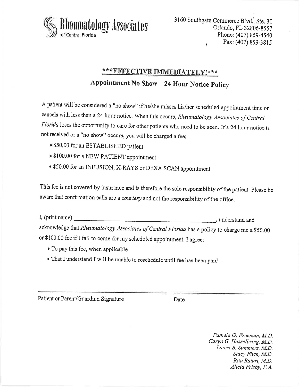

# \*\*\* EFFECTIVE IMMEDIATELY!\*\*\*

Appointment No Show - 24 Hour Notice policy

A patient will be considered a "no show" if he/she misses his/her scheduled appointment time or cancels with less than a 24 hour notice. When this occurs, *Rheumatology Associates of Central* Florida loses the opportunity to care for other patients who need to be seen. If a 24 hour notice is not received or a "no show" occurs, you will be charged a fee:

- \$50.00 for an ESTABLISHED patient
- \$100.00 for a NEW PATIENT appointment
- \$50.00 for an INFUSION, X-RAYS or DEXA SCAN appointment

This fee is not covered by insurance and is therefore the sole responsibility of the patient. please be aware that confirmation calls are a courtesy and not the responsibility of the office.

I, (Print name) , understand and acknowledge that Rheumatology Associates of Central Florida has a policy to charge me a \$50.00 or \$100.00 fee if I fail to come for my scheduled appointment. I agree:

- To pay this fee, when applicable
- r That I understand I will be unable to reschedule until fee has been paid

Patient or Parent/Guardian Signature Date

Pamela G. Freeman, M.D. Caryn G, Hasselbring, M.D, Laura B. Summers, M.D. Stacy Fitch, M.D, Rita Raturi, M.D, Alicia Frisby, P.A,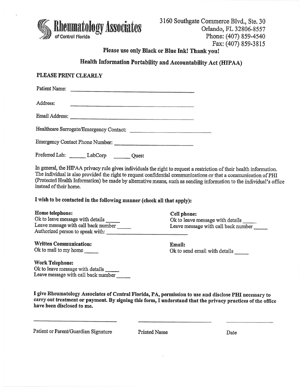

### Please use only Black or Blue Ink! Thank you!

# Health Information Portability and Accountabillty Act (IIIPAA)

### PLEASE PRINT CLEARLY

| Patient Name:<br>The contract of the contract of the contract of the contract of the contract of the contract of the contract of |  |
|----------------------------------------------------------------------------------------------------------------------------------|--|
| Address:                                                                                                                         |  |
|                                                                                                                                  |  |
| Healthcare Surrogate/Emergency Contact:                                                                                          |  |
| Emergency Contact Phone Number:                                                                                                  |  |

Prefened Lab: \_ LabCorp euest

In general, the HIPAA privacy rule gives individuals the right to request a restriction of their health information. The individual is also provided the right to request confidential communications or that a communication of pHI (Protected Health Information) be made by alternative means, such as sending information to the individual's office instead of their home.

I wish to be contacted in the following manner (check all that apply):

#### Home telephone: Cell phone:

Ok to leave message with details Leave message with call back number Authorized person to speak with:

### Written Communication:

Ok to mail to my home \_\_\_\_\_

Ok to leave message with details Leave message with call back number

Email: Ok to send email with details

### WorkTelephone:

Ok to leave message with details Leave message with call back number

I give Rheumatology Associates of Central Florida, PA, permission to use and disclose PHI necessary to carry out treatment or payment. By signing this form, I understand that the privacy practices of the office have been disclosed to me.

Patient or Parent/Guardian Signature Printed Name Date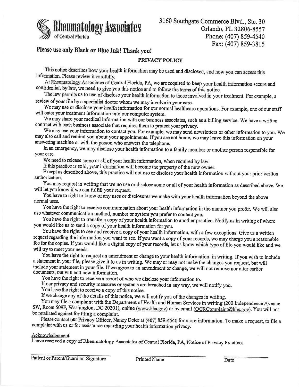

3160 Southgate Commerce Blvd., Ste. 30 Orlando, FL 32806-8557 Phone: (407) 859-4540 Fax: (407) 859-3815

# Please use only Black or Blue Ink! Thank you!

### PRIVACY POLICY

This notioe describes how your health information maybe used and disclosed, and how you can access this information. Please review it carefully.

At Rheumatology Associates of Central Florida, PA, we are required to keep your health information secure and confidential, by law, we need to give you this notice and to follow the terms of this notice.

The law permits us to use of disolose your health information to those involved in your treatment. For example, <sup>a</sup> review of your file by a specialist doctor whom we may involve in your care.

will enter your treatment information into our computer system. We may use or disclose your health information for our normal healthcare operations. For example, one of our staff

We may share your medical information with our business associates, such as a billing service. We have a written contract with each business associate that requires them to protect your privacy.

We may use your information to oontact you. For example, we maysend newsletters or other information to you. We may also call and remind you about your appointments. If you are not home, we may leave this information on your answering machine or with the person who answers the telephone.

In an emergency, we may disclose your health information to a family member or another person responsible for your care.

We need to release some or all of your health information, when required by law.

If this practice is sold, your information will become the property of the new owner.

Except as described above, this practioe will not use or disolose your health information without your prior written authorization,

will let you know if we can fulfill your request. You may request in writing that we no use or disclose some or all of your health information as described above. We

You have to right to know of any uses or disclosures we make with your health information beyond the above normal uses.

You have the right to receive communioation about your health information in the manner you prefer. We will also use whatever communication method, number or system you prefer to contact you.

You have the right to transfer a copy of your health information to another practice. Notify us in writing of where you would like us to send a copy of your health information for you.

You have the right to see and receive a copy of your health information, with a few exceptions. Give us a written requcst regarding the information you want to see. If you want a copy of your records, we may charge you a reasonable fee for the copies. If you would like a digital copy of your records, let us know which type of file you would like and we will try to meet your needs.

You have the right to request an amendment or ohange to your health information, in writing. If you wish to inolude a statement in your file, please give it to us in writing. We may or may not make the changes you request, but will include your statement in your file. If we agree to an amendment or change, we will not remove nor alter earlier documents, but will add new information.

You have the right to receive a report of who we disclose your information to.

If our privacy and security measures or systems are breached in any way, we will notify you.

You have the right to receive a copy of this notice.

If we change any of the details of this notice, we will notify you of the ohanges in writing.

Fou may file a complaint with the Department of Health and Human Services in writing (200 Independence Avenue<br>SW, Room 509F, Washington, DC 20201), online (www.hhs.gov) or by email (OCRComplaint@hhs.gov). You will not You may file a complaint with the Department of Health and Human Services in writing (200 Independence Avenue be retaliated against for filing a complaint.

Please contact our Privacy Officer, Nancy Deler at (407) 859-4540 for more information. To make a request, to file a complaint with us or for assistanoe regarding your health information privacy.

#### Acknowledgement

I have received a copy of Rheumatology Associates of Central Florida, PA, Notice of Privacy Practices.